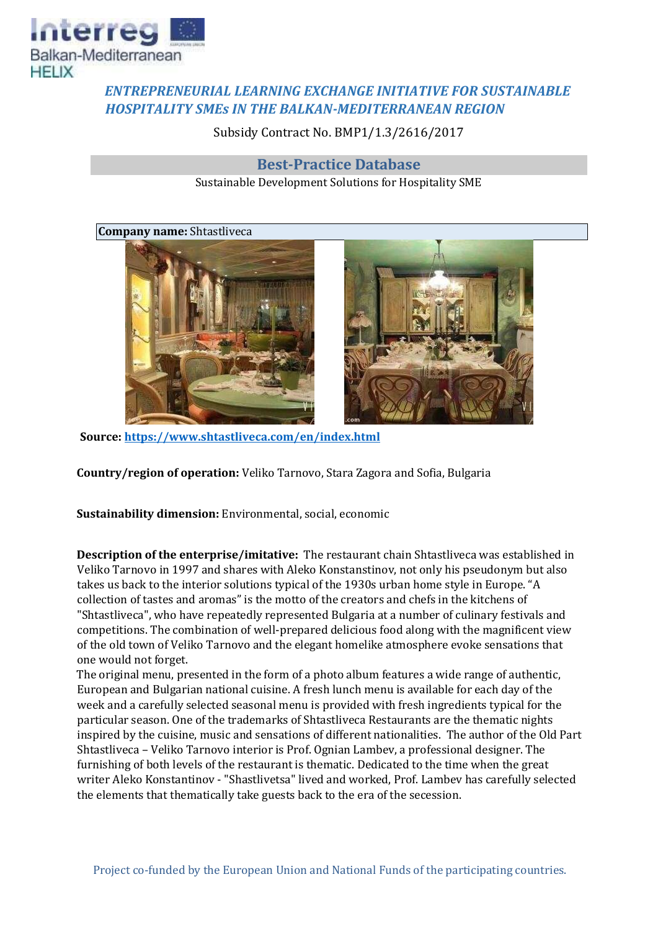

## *ENTREPRENEURIAL LEARNING EXCHANGE INITIATIVE FOR SUSTAINABLE HOSPITALITY SMEs IN THE BALKAN-MEDITERRANEAN REGION*

Subsidy Contract No. BMP1/1.3/2616/2017

## **Best-Practice Database**

Sustainable Development Solutions for Hospitality SME

## **Company name:** Shtastliveca





**Source[: https://www.shtastliveca.com/en/index.html](https://www.shtastliveca.com/en/index.html)**

**Country/region of operation:** Veliko Tarnovo, Stara Zagora and Sofia, Bulgaria

**Sustainability dimension:** Environmental, social, economic

**Description of the enterprise/imitative:** The restaurant chain Shtastliveca was established in Veliko Tarnovo in 1997 and shares with Aleko Konstanstinov, not only his pseudonym but also takes us back to the interior solutions typical of the 1930s urban home style in Europe. "A collection of tastes and aromas" is the motto of the creators and chefs in the kitchens of "Shtastliveca", who have repeatedly represented Bulgaria at a number of culinary festivals and competitions. The combination of well-prepared delicious food along with the magnificent view of the old town of Veliko Tarnovo and the elegant homelike atmosphere evoke sensations that one would not forget.

The original menu, presented in the form of a photo album features a wide range of authentic, European and Bulgarian national cuisine. A fresh lunch menu is available for each day of the week and a carefully selected seasonal menu is provided with fresh ingredients typical for the particular season. One of the trademarks of Shtastliveca Restaurants are the thematic nights inspired by the cuisine, music and sensations of different nationalities. The author of the Old Part Shtastliveca – Veliko Tarnovo interior is Prof. Ognian Lambev, a professional designer. The furnishing of both levels of the restaurant is thematic. Dedicated to the time when the great writer Aleko Konstantinov - "Shastlivetsa" lived and worked, Prof. Lambev has carefully selected the elements that thematically take guests back to the era of the secession.